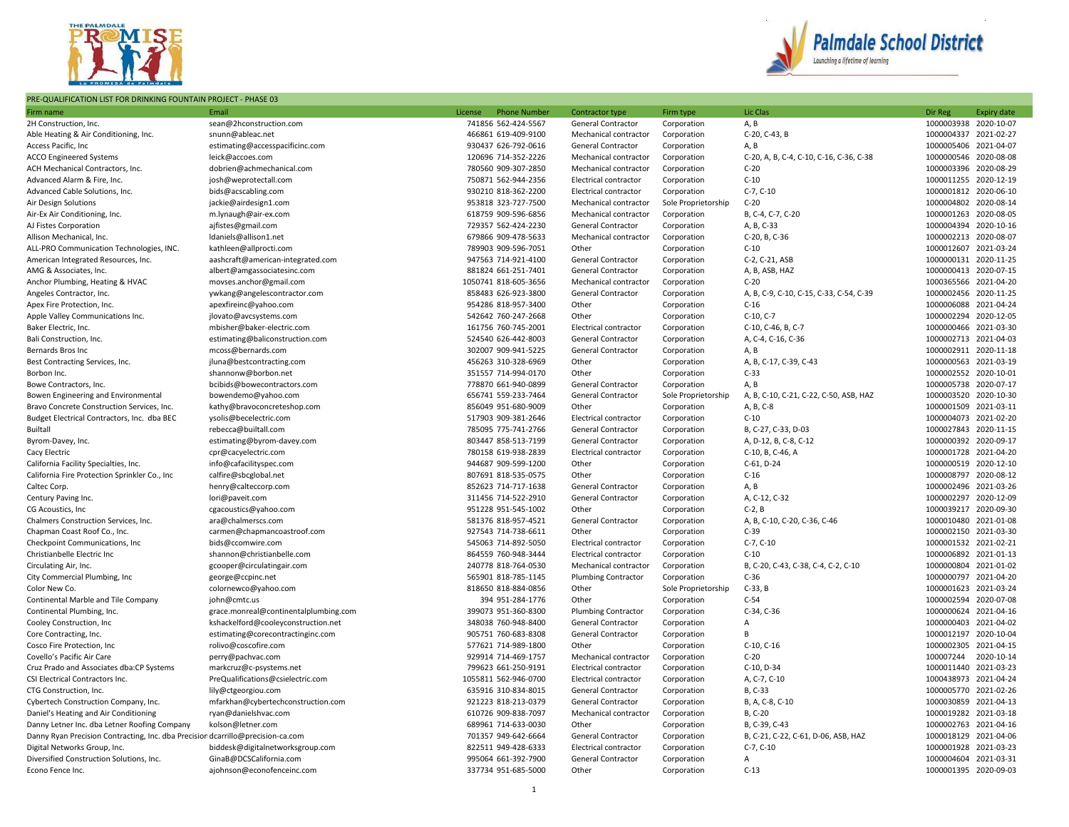

## PRE-QUALIFICATION LIST FOR DRINKING FOUNTAIN PROJECT - PHASE 03



| Firm name                                                                       | Email                                 | License | <b>Phone Number</b>                        | Contractor type                                         | Firm type                          | Lic Clas                                | Dir Reg   | <b>Expiry date</b>                             |
|---------------------------------------------------------------------------------|---------------------------------------|---------|--------------------------------------------|---------------------------------------------------------|------------------------------------|-----------------------------------------|-----------|------------------------------------------------|
| 2H Construction, Inc.                                                           | sean@2hconstruction.com               |         | 741856 562-424-5567                        | General Contractor                                      | Corporation                        | A, B                                    |           | 1000003938 2020-10-07                          |
| Able Heating & Air Conditioning, Inc.                                           | snunn@ableac.net                      |         | 466861 619-409-9100                        | Mechanical contractor                                   | Corporation                        | C-20, C-43, B                           |           | 1000004337 2021-02-27                          |
| Access Pacific, Inc                                                             | estimating@accesspacificinc.com       |         | 930437 626-792-0616                        | General Contractor                                      | Corporation                        | A, B                                    |           | 1000005406 2021-04-07                          |
| <b>ACCO Engineered Systems</b>                                                  | leick@accoes.com                      |         | 120696 714-352-2226                        | Mechanical contractor                                   | Corporation                        | C-20, A, B, C-4, C-10, C-16, C-36, C-38 |           | 1000000546 2020-08-08                          |
| ACH Mechanical Contractors, Inc.                                                | dobrien@achmechanical.com             |         | 780560 909-307-2850                        | Mechanical contractor                                   | Corporation                        | $C-20$                                  |           | 1000003396 2020-08-29                          |
| Advanced Alarm & Fire, Inc.                                                     | josh@weprotectall.com                 |         | 750871 562-944-2356                        | Electrical contractor                                   | Corporation                        | $C-10$                                  |           | 1000011255 2020-12-19                          |
| Advanced Cable Solutions, Inc.                                                  | bids@acscabling.com                   |         | 930210 818-362-2200                        | Electrical contractor                                   | Corporation                        | $C-7, C-10$                             |           | 1000001812 2020-06-10                          |
| Air Design Solutions                                                            | jackie@airdesign1.com                 |         | 953818 323-727-7500                        | Mechanical contractor                                   | Sole Proprietorship                | $C-20$                                  |           | 1000004802 2020-08-14                          |
| Air-Ex Air Conditioning, Inc.                                                   | m.lynaugh@air-ex.com                  |         | 618759 909-596-6856                        | Mechanical contractor                                   | Corporation                        | B, C-4, C-7, C-20                       |           | 1000001263 2020-08-05                          |
| AJ Fistes Corporation                                                           | ajfistes@gmail.com                    |         | 729357 562-424-2230                        | General Contractor                                      | Corporation                        | A, B, C-33                              |           | 1000004394 2020-10-16                          |
| Allison Mechanical, Inc.                                                        | Idaniels@allison1.net                 |         | 679866 909-478-5633                        | Mechanical contractor                                   | Corporation                        | C-20, B, C-36                           |           | 1000002213 2020-08-07                          |
| ALL-PRO Communication Technologies, INC.                                        | kathleen@allprocti.com                |         | 789903 909-596-7051                        | Other                                                   | Corporation                        | $C-10$                                  |           | 1000012607 2021-03-24                          |
| American Integrated Resources, Inc.                                             | aashcraft@american-integrated.com     |         | 947563 714-921-4100                        | General Contractor                                      | Corporation                        | C-2, C-21, ASB                          |           | 1000000131 2020-11-25                          |
| AMG & Associates, Inc.                                                          | albert@amgassociatesinc.com           |         | 881824 661-251-7401                        | General Contractor                                      | Corporation                        | A, B, ASB, HAZ                          |           | 1000000413 2020-07-15                          |
| Anchor Plumbing, Heating & HVAC                                                 | movses.anchor@gmail.com               |         | 1050741 818-605-3656                       | Mechanical contractor                                   | Corporation                        | $C-20$                                  |           | 1000365566 2021-04-20                          |
| Angeles Contractor, Inc.                                                        | ywkang@angelescontractor.com          |         | 858483 626-923-3800                        | General Contractor                                      | Corporation                        | A, B, C-9, C-10, C-15, C-33, C-54, C-39 |           | 1000002456 2020-11-25                          |
| Apex Fire Protection, Inc.                                                      | apexfireinc@yahoo.com                 |         | 954286 818-957-3400                        | Other                                                   | Corporation                        | $C-16$                                  |           | 1000006088 2021-04-24                          |
| Apple Valley Communications Inc.                                                | jlovato@avcsystems.com                |         | 542642 760-247-2668                        | Other                                                   | Corporation                        | $C-10, C-7$                             |           | 1000002294 2020-12-05                          |
| Baker Electric, Inc.                                                            |                                       |         | 161756 760-745-2001                        | Electrical contractor                                   |                                    | C-10, C-46, B, C-7                      |           | 1000000466 2021-03-30                          |
|                                                                                 | mbisher@baker-electric.com            |         |                                            |                                                         | Corporation                        |                                         |           |                                                |
| Bali Construction, Inc.                                                         | estimating@baliconstruction.com       |         | 524540 626-442-8003                        | General Contractor                                      | Corporation                        | A, C-4, C-16, C-36                      |           | 1000002713 2021-04-03<br>1000002911 2020-11-18 |
| Bernards Bros Inc                                                               | mcoss@bernards.com                    |         | 302007 909-941-5225                        | General Contractor                                      | Corporation                        | A, B                                    |           |                                                |
| Best Contracting Services, Inc.                                                 | jluna@bestcontracting.com             |         | 456263 310-328-6969                        | Other                                                   | Corporation                        | A, B, C-17, C-39, C-43                  |           | 1000000563 2021-03-19                          |
| Borbon Inc.                                                                     | shannonw@borbon.net                   |         | 351557 714-994-0170                        | Other                                                   | Corporation                        | $C-33$                                  |           | 1000002552 2020-10-01                          |
| Bowe Contractors, Inc.                                                          | bcibids@bowecontractors.com           |         | 778870 661-940-0899                        | General Contractor                                      | Corporation                        | A, B                                    |           | 1000005738 2020-07-17                          |
| Bowen Engineering and Environmental                                             | bowendemo@yahoo.com                   |         | 656741 559-233-7464                        | <b>General Contractor</b>                               | Sole Proprietorship                | A, B, C-10, C-21, C-22, C-50, ASB, HAZ  |           | 1000003520 2020-10-30                          |
| Bravo Concrete Construction Services, Inc.                                      | kathy@bravoconcreteshop.com           |         | 856049 951-680-9009                        | Other                                                   | Corporation                        | A, B, C-8                               |           | 1000001509 2021-03-11                          |
| Budget Electrical Contractors, Inc. dba BEC                                     | ysolis@becelectric.com                |         | 517903 909-381-2646                        | Electrical contractor                                   | Corporation                        | $C-10$                                  |           | 1000004073 2021-02-20                          |
| Builtall                                                                        | rebecca@builtall.com                  |         | 785095 775-741-2766                        | <b>General Contractor</b>                               | Corporation                        | B, C-27, C-33, D-03                     |           | 1000027843 2020-11-15                          |
| Byrom-Davey, Inc.                                                               | estimating@byrom-davey.com            |         | 803447 858-513-7199                        | <b>General Contractor</b>                               | Corporation                        | A, D-12, B, C-8, C-12                   |           | 1000000392 2020-09-17                          |
| Cacy Electric                                                                   | cpr@cacyelectric.com                  |         | 780158 619-938-2839<br>944687 909-599-1200 | Electrical contractor<br>Other                          | Corporation                        | C-10, B, C-46, A<br>$C-61, D-24$        |           | 1000001728 2021-04-20<br>1000000519 2020-12-10 |
| California Facility Specialties, Inc.                                           | info@cafacilityspec.com               |         |                                            |                                                         | Corporation                        |                                         |           | 1000008797 2020-08-12                          |
| California Fire Protection Sprinkler Co., Inc                                   | calfire@sbcglobal.net                 |         | 807691 818-535-0575                        | Other                                                   | Corporation                        | $C-16$                                  |           | 1000002496 2021-03-26                          |
| Caltec Corp.                                                                    | henry@calteccorp.com                  |         | 852623 714-717-1638                        | General Contractor<br><b>General Contractor</b>         | Corporation                        | A, B                                    |           |                                                |
| Century Paving Inc.                                                             | lori@paveit.com                       |         | 311456 714-522-2910                        | Other                                                   | Corporation                        | A, C-12, C-32                           |           | 1000002297 2020-12-09                          |
| CG Acoustics, Inc.                                                              | cgacoustics@yahoo.com                 |         | 951228 951-545-1002                        |                                                         | Corporation                        | $C-2, B$                                |           | 1000039217 2020-09-30                          |
| Chalmers Construction Services, Inc.                                            | ara@chalmerscs.com                    |         | 581376 818-957-4521                        | General Contractor                                      | Corporation                        | A, B, C-10, C-20, C-36, C-46            |           | 1000010480 2021-01-08                          |
| Chapman Coast Roof Co., Inc.                                                    | carmen@chapmancoastroof.com           |         | 927543 714-738-6611                        | Other                                                   | Corporation                        | $C-39$                                  |           | 1000002150 2021-03-30                          |
| Checkpoint Communications, Inc                                                  | bids@ccomwire.com                     |         | 545063 714-892-5050                        | Electrical contractor                                   | Corporation                        | $C-7, C-10$                             |           | 1000001532 2021-02-21                          |
| Christianbelle Electric Inc                                                     | shannon@christianbelle.com            |         | 864559 760-948-3444                        | Electrical contractor                                   | Corporation                        | $C-10$                                  |           | 1000006892 2021-01-13                          |
| Circulating Air, Inc.                                                           | gcooper@circulatingair.com            |         | 240778 818-764-0530                        | Mechanical contractor                                   | Corporation                        | B, C-20, C-43, C-38, C-4, C-2, C-10     |           | 1000000804 2021-01-02                          |
| City Commercial Plumbing, Inc.                                                  | george@ccpinc.net                     |         | 565901 818-785-1145<br>818650 818-884-0856 | Plumbing Contractor<br>Other                            | Corporation<br>Sole Proprietorship | $C-36$<br>$C-33$ , B                    |           | 1000000797 2021-04-20<br>1000001623 2021-03-24 |
| Color New Co.<br>Continental Marble and Tile Company                            | colornewco@yahoo.com                  |         | 394 951-284-1776                           | Other                                                   | Corporation                        | $C-54$                                  |           | 1000002594 2020-07-08                          |
|                                                                                 | john@cmtc.us                          |         | 399073 951-360-8300                        |                                                         |                                    | C-34, C-36                              |           | 1000000624 2021-04-16                          |
| Continental Plumbing, Inc.                                                      | grace.monreal@continentalplumbing.com |         | 348038 760-948-8400                        | <b>Plumbing Contractor</b><br><b>General Contractor</b> | Corporation                        | Α                                       |           | 1000000403 2021-04-02                          |
| Cooley Construction, Inc                                                        | kshackelford@cooleyconstruction.net   |         | 905751 760-683-8308                        | <b>General Contractor</b>                               | Corporation                        | B                                       |           | 1000012197 2020-10-04                          |
| Core Contracting, Inc.                                                          | estimating@corecontractinginc.com     |         |                                            |                                                         | Corporation                        | $C-10, C-16$                            |           | 1000002305 2021-04-15                          |
| Cosco Fire Protection, Inc<br>Covello's Pacific Air Care                        | rolivo@coscofire.com                  |         | 577621 714-989-1800<br>929914 714-469-1757 | Other<br>Mechanical contractor                          | Corporation                        | $C-20$                                  |           | 2020-10-14                                     |
|                                                                                 | perry@pachvac.com                     |         |                                            |                                                         | Corporation                        |                                         | 100007244 |                                                |
| Cruz Prado and Associates dba:CP Systems                                        | markcruz@c-psystems.net               |         | 799623 661-250-9191                        | Electrical contractor                                   | Corporation                        | C-10, D-34                              |           | 1000011440 2021-03-23                          |
| CSI Electrical Contractors Inc.                                                 | PreQualifications@csielectric.com     |         | 1055811 562-946-0700                       | Electrical contractor                                   | Corporation                        | A, C-7, C-10                            |           | 1000438973 2021-04-24                          |
| CTG Construction, Inc.                                                          | lily@ctgeorgiou.com                   |         | 635916 310-834-8015                        | General Contractor                                      | Corporation                        | B, C-33                                 |           | 1000005770 2021-02-26                          |
| Cybertech Construction Company, Inc.                                            | mfarkhan@cybertechconstruction.com    |         | 921223 818-213-0379                        | General Contractor                                      | Corporation                        | B, A, C-8, C-10                         |           | 1000030859 2021-04-13                          |
| Daniel's Heating and Air Conditioning                                           | ryan@danielshvac.com                  |         | 610726 909-838-7097                        | Mechanical contractor                                   | Corporation                        | B, C-20                                 |           | 1000019282 2021-03-18                          |
| Danny Letner Inc. dba Letner Roofing Company                                    | kolson@letner.com                     |         | 689961 714-633-0030                        | Other                                                   | Corporation                        | B, C-39, C-43                           |           | 1000002763 2021-04-16                          |
| Danny Ryan Precision Contracting, Inc. dba Precisior dcarrillo@precision-ca.com |                                       |         | 701357 949-642-6664                        | General Contractor                                      | Corporation                        | B, C-21, C-22, C-61, D-06, ASB, HAZ     |           | 1000018129 2021-04-06                          |
| Digital Networks Group, Inc.                                                    | biddesk@digitalnetworksgroup.com      |         | 822511 949-428-6333                        | Electrical contractor                                   | Corporation                        | $C-7, C-10$                             |           | 1000001928 2021-03-23                          |
| Diversified Construction Solutions, Inc.                                        | GinaB@DCSCalifornia.com               |         | 995064 661-392-7900                        | General Contractor                                      | Corporation                        | A                                       |           | 1000004604 2021-03-31                          |
| Econo Fence Inc.                                                                | ajohnson@econofenceinc.com            |         | 337734 951-685-5000                        | Other                                                   | Corporation                        | $C-13$                                  |           | 1000001395 2020-09-03                          |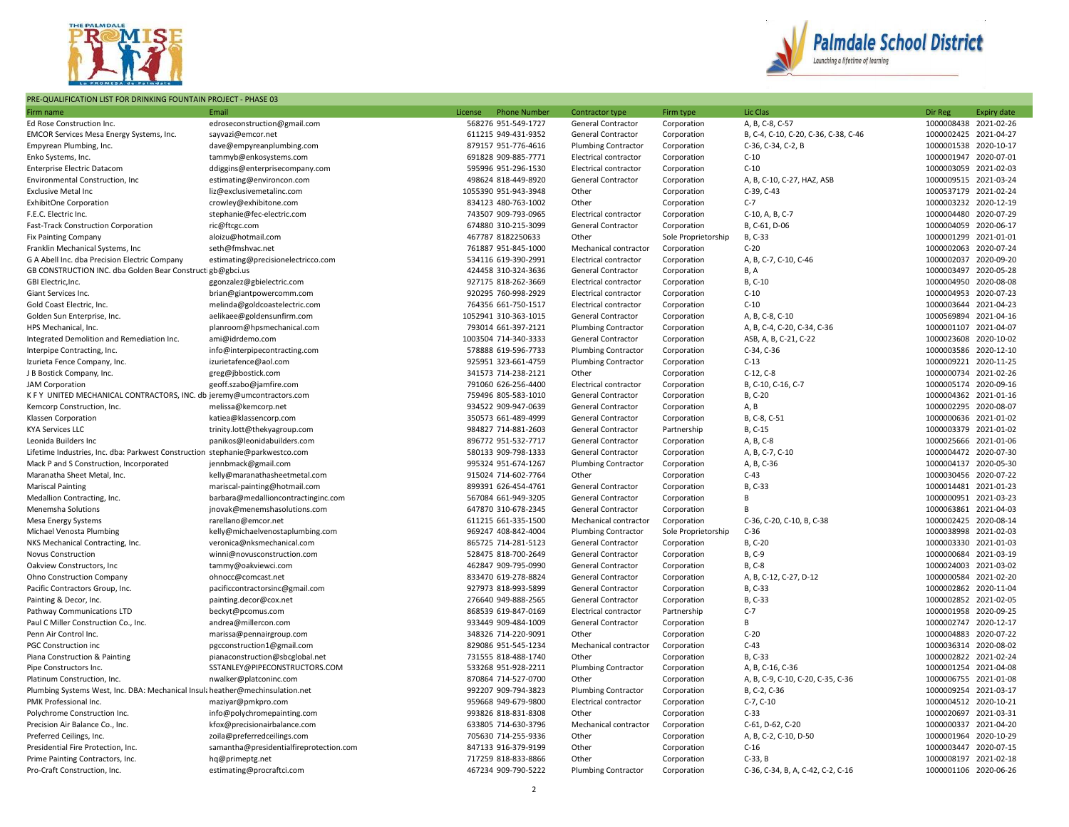

## PRE-QUALIFICATION LIST FOR DRINKING FOUNTAIN PROJECT - PHASE 03



| Firm name                                                                     | Email                                   | License<br><b>Phone Number</b> | Contractor type              | Firm type           | Lic Clas                             | Dir Reg               | Expiry date |
|-------------------------------------------------------------------------------|-----------------------------------------|--------------------------------|------------------------------|---------------------|--------------------------------------|-----------------------|-------------|
| Ed Rose Construction Inc.                                                     | edroseconstruction@gmail.com            | 568276 951-549-1727            | General Contractor           | Corporation         | A, B, C-8, C-57                      | 1000008438 2021-02-26 |             |
| EMCOR Services Mesa Energy Systems, Inc.                                      | sayvazi@emcor.net                       | 611215 949-431-9352            | General Contractor           | Corporation         | B, C-4, C-10, C-20, C-36, C-38, C-46 | 1000002425 2021-04-27 |             |
| Empyrean Plumbing, Inc.                                                       | dave@empyreanplumbing.com               | 879157 951-776-4616            | <b>Plumbing Contractor</b>   | Corporation         | C-36, C-34, C-2, B                   | 1000001538 2020-10-17 |             |
| Enko Systems, Inc.                                                            | tammyb@enkosystems.com                  | 691828 909-885-7771            | Electrical contractor        | Corporation         | C-10                                 | 1000001947 2020-07-01 |             |
| <b>Enterprise Electric Datacom</b>                                            | ddiggins@enterprisecompany.com          | 595996 951-296-1530            | Electrical contractor        | Corporation         | $C-10$                               | 1000003059 2021-02-03 |             |
| Environmental Construction, Inc.                                              | estimating@environcon.com               | 498624 818-449-8920            | General Contractor           | Corporation         | A, B, C-10, C-27, HAZ, ASB           | 1000009515 2021-03-24 |             |
| <b>Exclusive Metal Inc.</b>                                                   | liz@exclusivemetalinc.com               | 1055390 951-943-3948           | Other                        | Corporation         | $C-39. C-43$                         | 1000537179 2021-02-24 |             |
| <b>ExhibitOne Corporation</b>                                                 | crowley@exhibitone.com                  | 834123 480-763-1002            | Other                        | Corporation         | $C-7$                                | 1000003232 2020-12-19 |             |
| F.E.C. Electric Inc.                                                          | stephanie@fec-electric.com              | 743507 909-793-0965            | Electrical contractor        | Corporation         | C-10, A, B, C-7                      | 1000004480 2020-07-29 |             |
| Fast-Track Construction Corporation                                           | ric@ftcgc.com                           | 674880 310-215-3099            | General Contractor           | Corporation         | B, C-61, D-06                        | 1000004059 2020-06-17 |             |
| <b>Fix Painting Company</b>                                                   | aloizu@hotmail.com                      | 467787 8182250633              | Other                        | Sole Proprietorship | B, C-33                              | 1000001299 2021-01-01 |             |
| Franklin Mechanical Systems, Inc                                              | seth@fmshvac.net                        | 761887 951-845-1000            | Mechanical contractor        | Corporation         | $C-20$                               | 1000002063 2020-07-24 |             |
| G A Abell Inc. dba Precision Electric Company                                 | estimating@precisionelectricco.com      | 534116 619-390-2991            | Electrical contractor        | Corporation         | A, B, C-7, C-10, C-46                | 1000002037 2020-09-20 |             |
| GB CONSTRUCTION INC. dba Golden Bear Construct gb@gbci.us                     |                                         | 424458 310-324-3636            | General Contractor           | Corporation         | B, A                                 | 1000003497 2020-05-28 |             |
| GBI Electric, Inc.                                                            | ggonzalez@gbielectric.com               | 927175 818-262-3669            | <b>Electrical contractor</b> | Corporation         | B, C-10                              | 1000004950 2020-08-08 |             |
| Giant Services Inc.                                                           | brian@giantpowercomm.com                | 920295 760-998-2929            | Electrical contractor        | Corporation         | $C-10$                               | 1000004953 2020-07-23 |             |
| Gold Coast Electric, Inc.                                                     | melinda@goldcoastelectric.com           | 764356 661-750-1517            | Electrical contractor        | Corporation         | $C-10$                               | 1000003644 2021-04-23 |             |
| Golden Sun Enterprise, Inc.                                                   | aelikaee@goldensunfirm.com              | 1052941 310-363-1015           | General Contractor           | Corporation         | A, B, C-8, C-10                      | 1000569894 2021-04-16 |             |
| HPS Mechanical, Inc.                                                          | planroom@hpsmechanical.com              | 793014 661-397-2121            | <b>Plumbing Contractor</b>   | Corporation         | A, B, C-4, C-20, C-34, C-36          | 1000001107 2021-04-07 |             |
| Integrated Demolition and Remediation Inc.                                    | ami@idrdemo.com                         | 1003504 714-340-3333           | General Contractor           | Corporation         | ASB, A, B, C-21, C-22                | 1000023608 2020-10-02 |             |
| Interpipe Contracting, Inc.                                                   | info@interpipecontracting.com           | 578888 619-596-7733            | <b>Plumbing Contractor</b>   | Corporation         | C-34, C-36                           | 1000003586 2020-12-10 |             |
| Izurieta Fence Company, Inc.                                                  | izurietafence@aol.com                   | 925951 323-661-4759            | <b>Plumbing Contractor</b>   | Corporation         | $C-13$                               | 1000009221 2020-11-25 |             |
| J B Bostick Company, Inc.                                                     | greg@jbbostick.com                      | 341573 714-238-2121            | Other                        | Corporation         | $C-12, C-8$                          | 1000000734 2021-02-26 |             |
| <b>JAM Corporation</b>                                                        | geoff.szabo@jamfire.com                 | 791060 626-256-4400            | Electrical contractor        | Corporation         | B, C-10, C-16, C-7                   | 1000005174 2020-09-16 |             |
| K F Y UNITED MECHANICAL CONTRACTORS, INC. db jeremy@umcontractors.com         |                                         | 759496 805-583-1010            | General Contractor           | Corporation         | B, C-20                              | 1000004362 2021-01-16 |             |
| Kemcorp Construction, Inc.                                                    | melissa@kemcorp.net                     | 934522 909-947-0639            | General Contractor           | Corporation         | A, B                                 | 1000002295 2020-08-07 |             |
| Klassen Corporation                                                           | katiea@klassencorp.com                  | 350573 661-489-4999            | <b>General Contractor</b>    | Corporation         | B, C-8, C-51                         | 1000000636 2021-01-02 |             |
| <b>KYA Services LLC</b>                                                       | trinity.lott@thekyagroup.com            | 984827 714-881-2603            | General Contractor           | Partnership         | B, C-15                              | 1000003379 2021-01-02 |             |
| Leonida Builders Inc                                                          | panikos@leonidabuilders.com             | 896772 951-532-7717            | General Contractor           | Corporation         | A, B, C-8                            | 1000025666 2021-01-06 |             |
| Lifetime Industries, Inc. dba: Parkwest Construction stephanie@parkwestco.com |                                         | 580133 909-798-1333            | General Contractor           | Corporation         | A, B, C-7, C-10                      | 1000004472 2020-07-30 |             |
| Mack P and S Construction, Incorporated                                       | jennbmack@gmail.com                     | 995324 951-674-1267            | <b>Plumbing Contractor</b>   | Corporation         | A, B, C-36                           | 1000004137 2020-05-30 |             |
| Maranatha Sheet Metal, Inc.                                                   | kelly@maranathasheetmetal.com           | 915024 714-602-7764            | Other                        | Corporation         | $C-43$                               | 1000030456 2020-07-22 |             |
| <b>Mariscal Painting</b>                                                      | mariscal-painting@hotmail.com           | 899391 626-454-4761            | General Contractor           | Corporation         | B, C-33                              | 1000014481 2021-01-23 |             |
| Medallion Contracting, Inc.                                                   | barbara@medallioncontractinginc.com     | 567084 661-949-3205            | General Contractor           | Corporation         | B                                    | 1000000951 2021-03-23 |             |
| Menemsha Solutions                                                            | jnovak@menemshasolutions.com            | 647870 310-678-2345            | General Contractor           | Corporation         | <b>B</b>                             | 1000063861 2021-04-03 |             |
| Mesa Energy Systems                                                           | rarellano@emcor.net                     | 611215 661-335-1500            | Mechanical contractor        | Corporation         | C-36, C-20, C-10, B, C-38            | 1000002425 2020-08-14 |             |
| Michael Venosta Plumbing                                                      | kelly@michaelvenostaplumbing.com        | 969247 408-842-4004            | <b>Plumbing Contractor</b>   | Sole Proprietorship | $C-36$                               | 1000038998 2021-02-03 |             |
| NKS Mechanical Contracting, Inc.                                              | veronica@nksmechanical.com              | 865725 714-281-5123            | General Contractor           | Corporation         | B, C-20                              | 1000003330 2021-01-03 |             |
| <b>Novus Construction</b>                                                     | winni@novusconstruction.com             | 528475 818-700-2649            | General Contractor           | Corporation         | B, C-9                               | 1000000684 2021-03-19 |             |
| Oakview Constructors, Inc                                                     | tammy@oakviewci.com                     | 462847 909-795-0990            | General Contractor           | Corporation         | B, C-8                               | 1000024003 2021-03-02 |             |
| Ohno Construction Company                                                     | ohnocc@comcast.net                      | 833470 619-278-8824            | General Contractor           | Corporation         | A, B, C-12, C-27, D-12               | 1000000584 2021-02-20 |             |
| Pacific Contractors Group, Inc.                                               | pacificcontractorsinc@gmail.com         | 927973 818-993-5899            | General Contractor           | Corporation         | B, C-33                              | 1000002862 2020-11-04 |             |
| Painting & Decor, Inc.                                                        | painting.decor@cox.net                  | 276640 949-888-2565            | General Contractor           | Corporation         | B, C-33                              | 1000002852 2021-02-05 |             |
| Pathway Communications LTD                                                    | beckyt@pcomus.com                       | 868539 619-847-0169            | Electrical contractor        | Partnership         | $C-7$                                | 1000001958 2020-09-25 |             |
| Paul C Miller Construction Co., Inc.                                          | andrea@millercon.com                    | 933449 909-484-1009            | General Contractor           | Corporation         | B                                    | 1000002747 2020-12-17 |             |
| Penn Air Control Inc.                                                         | marissa@pennairgroup.com                | 348326 714-220-9091            | Other                        | Corporation         | $C-20$                               | 1000004883 2020-07-22 |             |
| <b>PGC Construction inc</b>                                                   | pgcconstruction1@gmail.com              | 829086 951-545-1234            | Mechanical contractor        | Corporation         | $C-43$                               | 1000036314 2020-08-02 |             |
| Piana Construction & Painting                                                 | pianaconstruction@sbcglobal.net         | 731555 818-488-1740            | Other                        | Corporation         | B, C-33                              | 1000002822 2021-02-24 |             |
| Pipe Constructors Inc.                                                        | SSTANLEY@PIPECONSTRUCTORS.COM           | 533268 951-928-2211            | <b>Plumbing Contractor</b>   | Corporation         | A, B, C-16, C-36                     | 1000001254 2021-04-08 |             |
| Platinum Construction, Inc.                                                   | nwalker@platconinc.com                  | 870864 714-527-0700            | Other                        | Corporation         | A, B, C-9, C-10, C-20, C-35, C-36    | 1000006755 2021-01-08 |             |
| Plumbing Systems West, Inc. DBA: Mechanical Insul; heather@mechinsulation.net |                                         | 992207 909-794-3823            | <b>Plumbing Contractor</b>   | Corporation         | B, C-2, C-36                         | 1000009254 2021-03-17 |             |
| PMK Professional Inc.                                                         | maziyar@pmkpro.com                      | 959668 949-679-9800            | <b>Electrical contractor</b> | Corporation         | $C-7, C-10$                          | 1000004512 2020-10-21 |             |
| Polychrome Construction Inc.                                                  | info@polychromepainting.com             | 993826 818-831-8308            | Other                        | Corporation         | $C-33$                               | 1000020697 2021-03-31 |             |
| Precision Air Balance Co., Inc.                                               | kfox@precisionairbalance.com            | 633805 714-630-3796            | Mechanical contractor        | Corporation         | C-61, D-62, C-20                     | 1000000337 2021-04-20 |             |
| Preferred Ceilings, Inc.                                                      | zoila@preferredceilings.com             | 705630 714-255-9336            | Other                        | Corporation         | A, B, C-2, C-10, D-50                | 1000001964 2020-10-29 |             |
| Presidential Fire Protection, Inc.                                            | samantha@presidentialfireprotection.com | 847133 916-379-9199            | Other                        | Corporation         | $C-16$                               | 1000003447 2020-07-15 |             |
| Prime Painting Contractors, Inc.                                              | hq@primeptg.net                         | 717259 818-833-8866            | Other                        | Corporation         | $C-33$ , B                           | 1000008197 2021-02-18 |             |
| Pro-Craft Construction, Inc.                                                  | estimating@procraftci.com               | 467234 909-790-5222            | <b>Plumbing Contractor</b>   | Corporation         | C-36, C-34, B, A, C-42, C-2, C-16    | 1000001106 2020-06-26 |             |